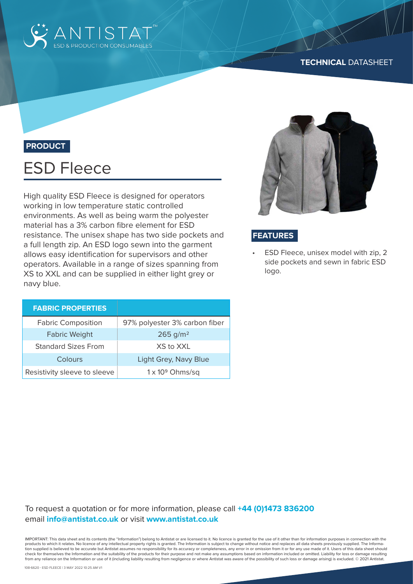

### **TECHNICAL** DATASHEET

## **PRODUCT**

# ESD Fleece

High quality ESD Fleece is designed for operators working in low temperature static controlled environments. As well as being warm the polyester material has a 3% carbon fibre element for ESD resistance. The unisex shape has two side pockets and a full length zip. An ESD logo sewn into the garment allows easy identification for supervisors and other operators. Available in a range of sizes spanning from XS to XXL and can be supplied in either light grey or navy blue.

| <b>FABRIC PROPERTIES</b>     |                               |  |
|------------------------------|-------------------------------|--|
| <b>Fabric Composition</b>    | 97% polyester 3% carbon fiber |  |
| <b>Fabric Weight</b>         | $265$ g/m <sup>2</sup>        |  |
| <b>Standard Sizes From</b>   | XS to XXL                     |  |
| Colours                      | Light Grey, Navy Blue         |  |
| Resistivity sleeve to sleeve | $1 \times 10^9$ Ohms/sq       |  |



## **FEATURES**

• ESD Fleece, unisex model with zip, 2 side pockets and sewn in fabric ESD logo.

## To request a quotation or for more information, please call **+44 (0)1473 836200** email **info@antistat.co.uk** or visit **www.antistat.co.uk**

IMPORTANT: This data sheet and its contents (the "Information") belong to Antistat or are licensed to it. No licence is granted for the use of it other than for information purposes in connection with the products to which it relates. No licence of any intellectual property rights is granted. The Information is subject to change without notice and replaces all data sheets previously supplied. The Informa-<br>tion supplied is b check for themselves the Information and the suitability of the products for their purpose and not make any assumptions based on information included or omitted. Liability for loss or damage resulting from any reliance on the Information or use of it (including liability resulting from negligence or where Antistat was aware of the possibility of such loss or damage arising) is excluded. © 2021 Antistat.